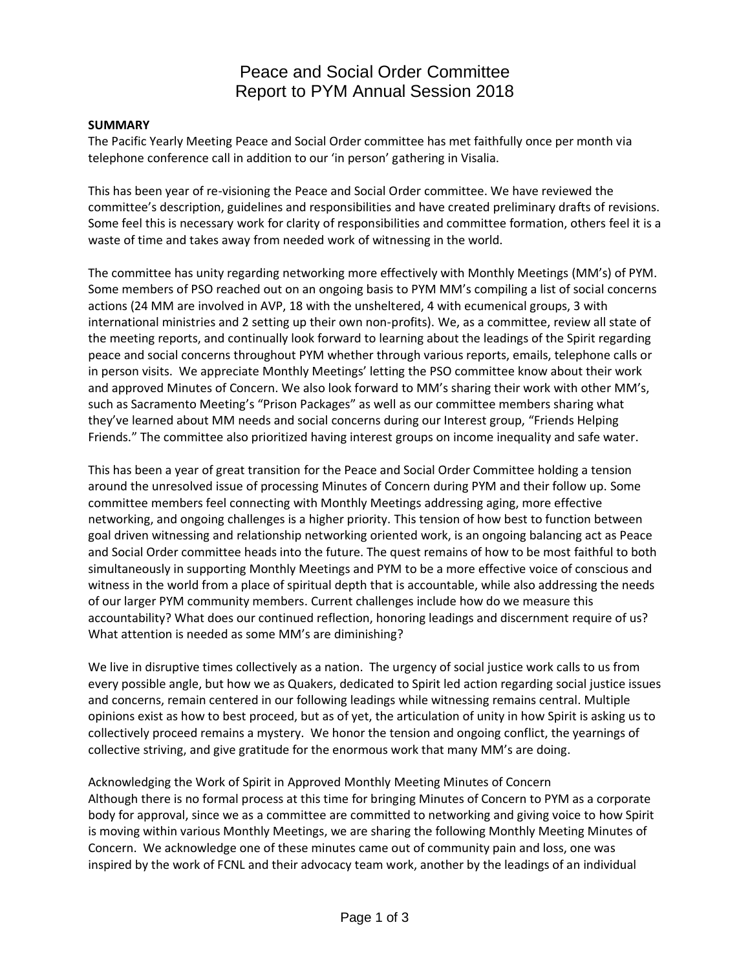## Peace and Social Order Committee Report to PYM Annual Session 2018

#### **SUMMARY**

The Pacific Yearly Meeting Peace and Social Order committee has met faithfully once per month via telephone conference call in addition to our 'in person' gathering in Visalia.

This has been year of re-visioning the Peace and Social Order committee. We have reviewed the committee's description, guidelines and responsibilities and have created preliminary drafts of revisions. Some feel this is necessary work for clarity of responsibilities and committee formation, others feel it is a waste of time and takes away from needed work of witnessing in the world.

The committee has unity regarding networking more effectively with Monthly Meetings (MM's) of PYM. Some members of PSO reached out on an ongoing basis to PYM MM's compiling a list of social concerns actions (24 MM are involved in AVP, 18 with the unsheltered, 4 with ecumenical groups, 3 with international ministries and 2 setting up their own non-profits). We, as a committee, review all state of the meeting reports, and continually look forward to learning about the leadings of the Spirit regarding peace and social concerns throughout PYM whether through various reports, emails, telephone calls or in person visits. We appreciate Monthly Meetings' letting the PSO committee know about their work and approved Minutes of Concern. We also look forward to MM's sharing their work with other MM's, such as Sacramento Meeting's "Prison Packages" as well as our committee members sharing what they've learned about MM needs and social concerns during our Interest group, "Friends Helping Friends." The committee also prioritized having interest groups on income inequality and safe water.

This has been a year of great transition for the Peace and Social Order Committee holding a tension around the unresolved issue of processing Minutes of Concern during PYM and their follow up. Some committee members feel connecting with Monthly Meetings addressing aging, more effective networking, and ongoing challenges is a higher priority. This tension of how best to function between goal driven witnessing and relationship networking oriented work, is an ongoing balancing act as Peace and Social Order committee heads into the future. The quest remains of how to be most faithful to both simultaneously in supporting Monthly Meetings and PYM to be a more effective voice of conscious and witness in the world from a place of spiritual depth that is accountable, while also addressing the needs of our larger PYM community members. Current challenges include how do we measure this accountability? What does our continued reflection, honoring leadings and discernment require of us? What attention is needed as some MM's are diminishing?

We live in disruptive times collectively as a nation. The urgency of social justice work calls to us from every possible angle, but how we as Quakers, dedicated to Spirit led action regarding social justice issues and concerns, remain centered in our following leadings while witnessing remains central. Multiple opinions exist as how to best proceed, but as of yet, the articulation of unity in how Spirit is asking us to collectively proceed remains a mystery. We honor the tension and ongoing conflict, the yearnings of collective striving, and give gratitude for the enormous work that many MM's are doing.

Acknowledging the Work of Spirit in Approved Monthly Meeting Minutes of Concern Although there is no formal process at this time for bringing Minutes of Concern to PYM as a corporate body for approval, since we as a committee are committed to networking and giving voice to how Spirit is moving within various Monthly Meetings, we are sharing the following Monthly Meeting Minutes of Concern. We acknowledge one of these minutes came out of community pain and loss, one was inspired by the work of FCNL and their advocacy team work, another by the leadings of an individual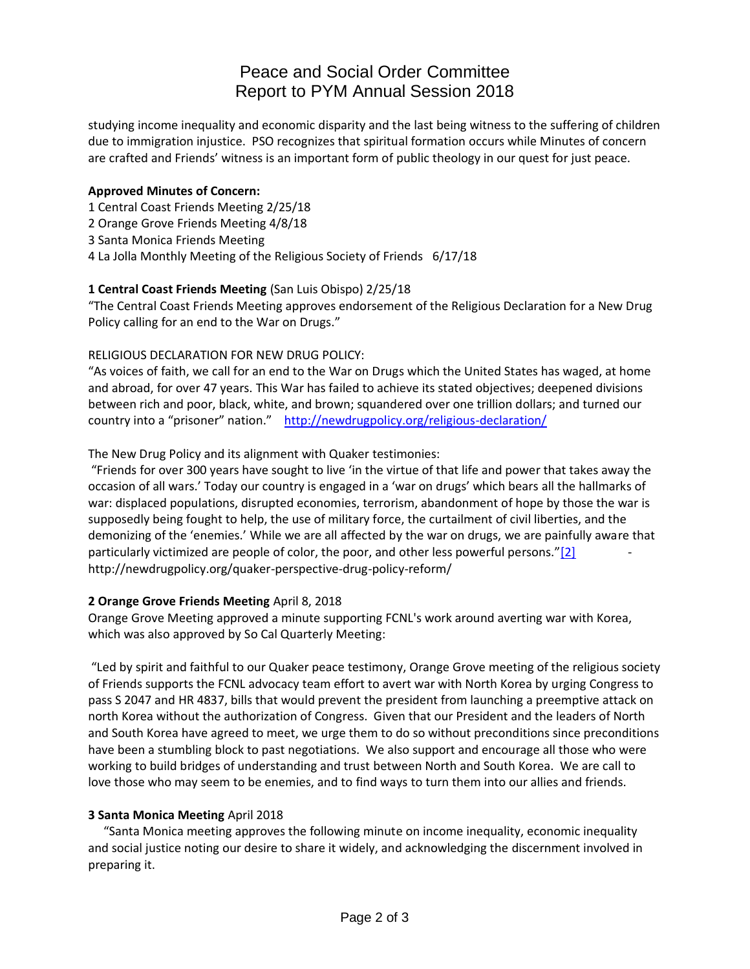# Peace and Social Order Committee Report to PYM Annual Session 2018

studying income inequality and economic disparity and the last being witness to the suffering of children due to immigration injustice. PSO recognizes that spiritual formation occurs while Minutes of concern are crafted and Friends' witness is an important form of public theology in our quest for just peace.

#### **Approved Minutes of Concern:**

- 1 Central Coast Friends Meeting 2/25/18
- 2 Orange Grove Friends Meeting 4/8/18
- 3 Santa Monica Friends Meeting
- 4 La Jolla Monthly Meeting of the Religious Society of Friends 6/17/18

## **1 Central Coast Friends Meeting** (San Luis Obispo) 2/25/18

"The Central Coast Friends Meeting approves endorsement of the Religious Declaration for a New Drug Policy calling for an end to the War on Drugs."

## RELIGIOUS DECLARATION FOR NEW DRUG POLICY:

"As voices of faith, we call for an end to the War on Drugs which the United States has waged, at home and abroad, for over 47 years. This War has failed to achieve its stated objectives; deepened divisions between rich and poor, black, white, and brown; squandered over one trillion dollars; and turned our country into a "prisoner" nation." <http://newdrugpolicy.org/religious-declaration/>

The New Drug Policy and its alignment with Quaker testimonies:

"Friends for over 300 years have sought to live 'in the virtue of that life and power that takes away the occasion of all wars.' Today our country is engaged in a 'war on drugs' which bears all the hallmarks of war: displaced populations, disrupted economies, terrorism, abandonment of hope by those the war is supposedly being fought to help, the use of military force, the curtailment of civil liberties, and the demonizing of the 'enemies.' While we are all affected by the war on drugs, we are painfully aware that particularly victimized are people of color, the poor, and other less powerful persons."[2] http://newdrugpolicy.org/quaker-perspective-drug-policy-reform/

## **2 Orange Grove Friends Meeting** April 8, 2018

Orange Grove Meeting approved a minute supporting FCNL's work around averting war with Korea, which was also approved by So Cal Quarterly Meeting:

"Led by spirit and faithful to our Quaker peace testimony, Orange Grove meeting of the religious society of Friends supports the FCNL advocacy team effort to avert war with North Korea by urging Congress to pass S 2047 and HR 4837, bills that would prevent the president from launching a preemptive attack on north Korea without the authorization of Congress. Given that our President and the leaders of North and South Korea have agreed to meet, we urge them to do so without preconditions since preconditions have been a stumbling block to past negotiations. We also support and encourage all those who were working to build bridges of understanding and trust between North and South Korea. We are call to love those who may seem to be enemies, and to find ways to turn them into our allies and friends.

## **3 Santa Monica Meeting** April 2018

 "Santa Monica meeting approves the following minute on income inequality, economic inequality and social justice noting our desire to share it widely, and acknowledging the discernment involved in preparing it.